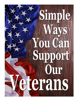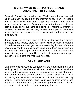## **SIMPLE WAYS TO SUPPORT VETERANS AND MAKE A DIFFERNCE**

Benjamin Franklin is quoted to say, "Well done is better than well said." Whether you read it on the internet or see it on TV, people from all walks of life talk about supporting veterans. Yet, actions speak louder than words. Saying you support veterans is different from actually going out there and doing it – making a difference. Veterans appreciate the help they receive from a person because it shows that we have a sincere desire to support and honor them for their service.

If you would like to show your gratitude for the sacrifices service members have made, there are many ways to make it happen. Sometimes even a small gesture can have a big impact. Veterans have many needs and challenges because of their military service, and they can use support and assistance in a variety of ways that may not always be obvious. Here is a list of ways you can support our service members and make a difference.

## **SAY THANK YOU!**

One of the easiest ways to support veterans is a simple thank you, as long as it is heartfelt and sincere. A simple act of gratitude asking for the veteran's name, the branch served in, and where and the number of years served seems like such a small thing, but it something that American veterans do not hear as often as they should. These two words, "thank you," can brighten even a bad day for a veteran because you acknowledge their service. Before you depart, ask the veteran if you could pray for him.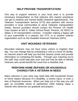# **HELP PROVIDE TRANSPORTATION!**

One way to support veterans in your local area is to provide necessary transportation so that veterans who require assistance can get to medical and mental health treatment appointments. The Veterans Transportation Service (VTS) also partners with service providers in local communities to serve Veterans' transportation needs. Service providers should contact the Phoenix VA Health Care System at 650 E. Indian School Road; Phoenix, AZ 85012 to obtain a VA transportation contract. Consider making a legacy gift of your automobile to a veteran, the VTS, or to another veteran organization such as the Disabled American Veterans (DAV).

## **VISIT WOUNDED VETERANS!**

Wounded veterans may not have many visitors to brighten their day. You can change that by scheduling a visit to a local VA facility. An internet search will help you find the nearest center and provide information on contacting the facility. Through your reaching out to the staff, they could help plan your visit and may be able to identify Veterans who would benefit the most from a heartfelt chat.

## **PERFORM HOME REPAIRS OR HOUSEHOLD CHORES FOR A VETERAN IN NEED!**

Many veterans in your area may need help with household chores or home repairs because of a disability, a severe injury, or even a lack of financial resources. When you help out in this way you will gain an incredible sense of satisfaction while helping repay a veteran who deserves our gratitude and prayers.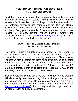### **HELP BUILD A HOME FOR SEVERELY INJURED VETERANS!**

Habitat for Humanity is a global house organization working in local communities across all 50 states. Through Habitat for Humanity's Veterans Build initiative, you can help provide homeownership to U.S. veterans, military service members and their families. Habitat for Humanity brings people together to build homes, communities and hope. Every year thousands of volunteers make the mission of Habitat for Humanity Central Arizona possible. Contact the Volunteer Services Team at [volunteerinfor@habitat.org](mailto:volunteerinfor@habitat.org) and be a part of helping Habitat to build a better world.

### **DONATE FREQUENT FLIER MILES OR HOTEL POINTS!**

The Fisher House Foundation is best known for its network of comfort homes where military and veteran families can stay at no cost while a loved one is receiving treatment. Fisher House Foundation also operates the Hero Miles Program, using donated frequent flyer miles and funds to bring family members to the bedside of injured service members. Don't have miles to donate? Make a monetary donation to Hero Miles Program; 100% of the monetary donations will be used for Hero Miles.

Donated hotel points and dollars to the Hotels for Heroes program will allow family members to stay without charge at hotels near medical centers. The Fisher House also manages a grant program that supports other military charities and scholarship funds [\(http://militaryscholar.org/\)](http://militaryscholar.org/) for military children, spouses, and children of fallen and disabled Veterans.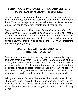### **SEND A CARE PACKAGES, CARDS, AND LETTERS TO DEPLOYED MILITARY PERSONNEL!**

Our servicemen and women who are deployed thousands of miles away from home, need to be reassured that America cares about them. To show our appreciation for their great sacrifices, we need to do all we can to boost their morale and lift their spirits.

Operation Gratitude, 21100 Lassen Street, Chatsworth, CA 91311, sends 250,000+ Care Packages each year to Deployed Troops, Veterans, New Recruits and First Responders There is nothing like a letter or postcard from home to let a soldier, sailor, marine, or airman know that their service is appreciated. Don't underestimate the value of your greeting!

### **SPEND TIME WITH A VET AND TAKE THE TIME TO LISTEN!**

One way that you can give something back to a veteran is to spend time with them and really listen to them. Many veterans end up socially isolated and this can have a negative effect on their mental and physical health. Get to know veterans in your area. Invite them for coffee, a movie or social gathering. Call a veteran, inquire how he or she is doing, and ask is there someway I can help. Your caring can have a tremendous impact in a service member's life.

Asking the veteran for his or her name, the branch served in, and where and when served, shows your genuine caring for the sacrifices he or she made while serving in the military. Inquire about sharing a memory, how can you help and if you could pray for him.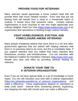# **PROVIDE FOOD FOR VETERANS!**

Many veterans would appreciate a home cooked meal that will provide them with much needed nutrition. Even vets that are not lacking food will benefit from a meal or a homemade batch of cookies. It shows them that someone cares. Contact veteran organizations or local churches to see who might appreciate your culinary delights. Feed Our Vets [\(https://www.feedourvets.org\)](https://www.feedourvets.org/) is an organization that specializes in feeding hungry veteran families.

## **FIGHT HOMELESSNESS, EVICTION, AND FORECLOSURE AMONG VETERANS!**

Many people mistakenly believe that since there is a VA and other government agencies that are tasked with helping veterans that there is no pressing need to do more, but this is completely false. If you support veterans then you realize that many veterans face foreclosure, eviction, and homelessness. You can volunteer with the National Coalition for Homeless Veterans [\(http://www.nchv.org\)](http://www.nchv.org/), donate your time and effort by providing spiritual healing for veterans.

#### **DONATE YOUR TIME TO A VETERAN ORGANIZATION!**

Even if you do not have special skills or a lot of knowledge in home repair, You can still volunteer your time with a veteran organization [\(https://en.wikipedia.org/wiki/List\\_of\\_veterans\\_organizations\)](https://en.wikipedia.org/wiki/List_of_veterans_organizations) and make a difference. These organizations depend on volunteers to keep costs down. Clerical work, answering phones, organizing, and stepping into help with menial work can make a difference.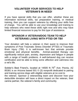### **VOLUNTEER YOUR SERVICES TO HELP VETERAN'S IN NEED!**

If you have special skills that you can offer, whether these are information technical skills, tax preparation training, or medical training, then you can support veterans by offering your skills free of charge. You will be able to use your knowledge and training to help veterans who need these skills right now and who may have limited financial resources to pay for this type of assistance.

### **SPONSOR A VETERAN/DOG TEAM TO HELP VETERANS LIVING WITH PTSD OR TBI!**

Your donation will help a veteran in their quest to improve their symptoms of Post Traumatic Stress Disorder (PTSD) or Traumatic Brain Injury (TBI). It is well-known fact that animals provide emotional and physical benefits. Animal-assisted therapy can significantly reduce pain, anxiety, depression and fatigue in people with a range of health problems. A well-behaved dog can receive certification and be able to bring some affection and calmness into a vet's life.

Soldier's Best Friend's, located at 14505 N 75<sup>th</sup> Ave; Peoria, AZ 85381 is an Arizona based 501 © (3) nonprofit dedicated to pairing and training service dogs with eligible veterans at no cost to the veteran. Sponsor a veteran/dog team and discover how your deductible donation will have a direct impact on the veteran, their canine partner, the veteran's family and community.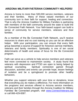# **ARIZONA MILITARY/VETERAN COMMUNITY HELPERS!**

Arizona is home to more than 500,000 service members, veterans and their families. Many of these valued members of our community turn to their faith for support, healing and connection. That is why the Arizona Coalition for Military Families is partnering with members of the faith community around the state to build the Be Connected Faith Network. Your faith-based support can build a sense of community for service members, veterans and their families.

As a member of the Be Connected Faith Network, you'll receive resources to share and no cost training so you can be an effective helper. With your participation, you can ensure that every faith group becomes a source of support for Arizona's service members, veterans and family members. Spirituality is one of ten social determinants of health and areas of focus for the Be Connected program.

Faith can serve as a vehicle to help service members and veterans feel more connected to mainstream society. A study found that veterans with depression and PTSD are open to being helped by spiritual counseling. Spiritual connection gained through discussion, activities and events can provide hope, lessen feelings of isolation and be a springboard to promote other healthy behaviors.

Whether you support veterans with your time or donations, know that everything you do makes a difference. For more information on the programs and services offered to Arizona service members, veterans and their families through the Arizona Coalition for Military Families' Be Connected program, visit [www.ConnectVeterans.org](http://www.connectveterans.org/) or call 866-429-8387.